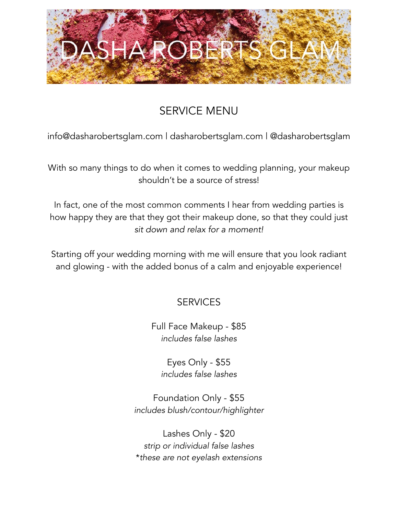

# SERVICE MENU

info@dasharobertsglam.com | [dasharobertsglam.com](http://dasharobertsglam.com) | @dasharobertsglam

With so many things to do when it comes to wedding planning, your makeup shouldn't be a source of stress!

In fact, one of the most common comments I hear from wedding parties is how happy they are that they got their makeup done, so that they could just *sit down and relax for a moment!* 

Starting off your wedding morning with me will ensure that you look radiant and glowing - with the added bonus of a calm and enjoyable experience!

## **SERVICES**

Full Face Makeup - \$85 *includes false lashes*

> Eyes Only - \$55 *includes false lashes*

Foundation Only - \$55 *includes blush/contour/highlighter*

Lashes Only - \$20 *strip or individual false lashes* \**these are not eyelash extensions*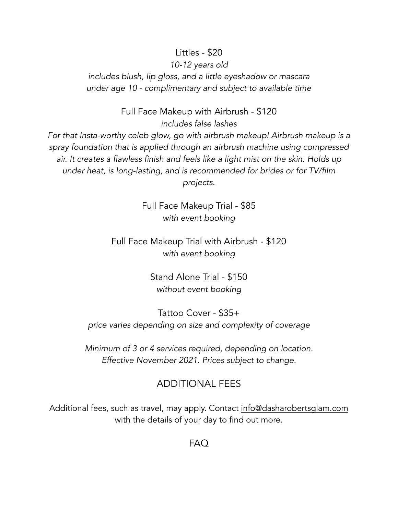#### Littles - \$20

#### *10-12 years old*

*includes blush, lip gloss, and a little eyeshadow or mascara under age 10 - complimentary and subject to available time*

> Full Face Makeup with Airbrush - \$120 *includes false lashes*

*For that Insta-worthy celeb glow, go with airbrush makeup! Airbrush makeup is a spray foundation that is applied through an airbrush machine using compressed air. It creates a flawless finish and feels like a light mist on the skin. Holds up under heat, is long-lasting, and is recommended for brides or for TV/film projects.*

> Full Face Makeup Trial - \$85 *with event booking*

Full Face Makeup Trial with Airbrush - \$120 *with event booking*

> Stand Alone Trial - \$150 *without event booking*

Tattoo Cover - \$35+ *price varies depending on size and complexity of coverage*

*Minimum of 3 or 4 services required, depending on location. Effective November 2021. Prices subject to change.*

### ADDITIONAL FEES

Additional fees, such as travel, may apply. Contact [info@dasharobertsglam.com](mailto:info@dasharobertsglam.com) with the details of your day to find out more.

FAQ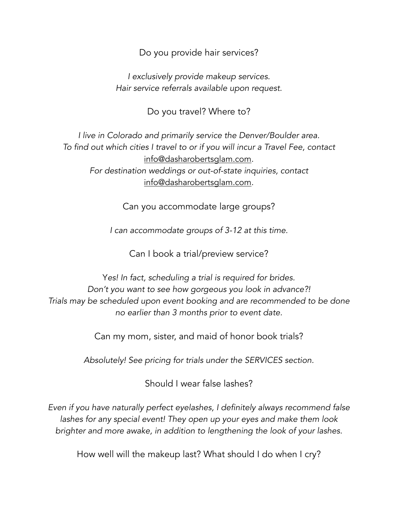Do you provide hair services?

*I exclusively provide makeup services. Hair service referrals available upon request.*

Do you travel? Where to?

*I live in Colorado and primarily service the Denver/Boulder area. To find out which cities I travel to or if you will incur a Travel Fee, contact*  [info@dasharobertsglam.com](mailto:info@dasharobertsglam.com)*. For destination weddings or out-of-state inquiries, contact*  [info@dasharobertsglam.com](mailto:info@dasharobertsglam.com)*.*

Can you accommodate large groups?

*I can accommodate groups of 3-12 at this time.*

Can I book a trial/preview service?

Y*es! In fact, scheduling a trial is required for brides. Don't you want to see how gorgeous you look in advance?! Trials may be scheduled upon event booking and are recommended to be done no earlier than 3 months prior to event date.*

Can my mom, sister, and maid of honor book trials?

*Absolutely! See pricing for trials under the SERVICES section.*

Should I wear false lashes?

*Even if you have naturally perfect eyelashes, I definitely always recommend false lashes for any special event! They open up your eyes and make them look brighter and more awake, in addition to lengthening the look of your lashes.*

How well will the makeup last? What should I do when I cry?